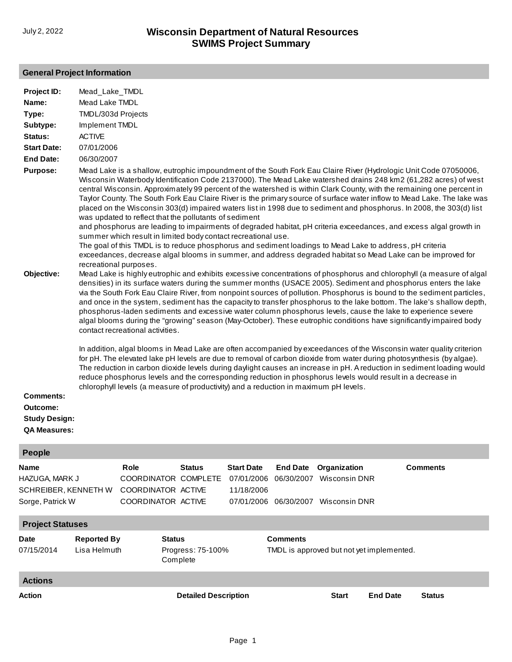### **General Project Information**

| Project ID:                                                                 | Mead_Lake_TMDL                                                                                                                                                                                                                                                                                                                                                                                                                                                                                                                                                                                                                                                                                                                                                                                                                                                                                                                                                                                                                                                                                                                                                                                                                                                                                                                                                                                                                                                                                                                                                                                                                        |                                                                                                                                                                                                                                         |                               |                                               |                               |                                                                             |                 |                                                                                                                                                                                                                                                                                                                                                                                                                                                                                                                                                                                                                |
|-----------------------------------------------------------------------------|---------------------------------------------------------------------------------------------------------------------------------------------------------------------------------------------------------------------------------------------------------------------------------------------------------------------------------------------------------------------------------------------------------------------------------------------------------------------------------------------------------------------------------------------------------------------------------------------------------------------------------------------------------------------------------------------------------------------------------------------------------------------------------------------------------------------------------------------------------------------------------------------------------------------------------------------------------------------------------------------------------------------------------------------------------------------------------------------------------------------------------------------------------------------------------------------------------------------------------------------------------------------------------------------------------------------------------------------------------------------------------------------------------------------------------------------------------------------------------------------------------------------------------------------------------------------------------------------------------------------------------------|-----------------------------------------------------------------------------------------------------------------------------------------------------------------------------------------------------------------------------------------|-------------------------------|-----------------------------------------------|-------------------------------|-----------------------------------------------------------------------------|-----------------|----------------------------------------------------------------------------------------------------------------------------------------------------------------------------------------------------------------------------------------------------------------------------------------------------------------------------------------------------------------------------------------------------------------------------------------------------------------------------------------------------------------------------------------------------------------------------------------------------------------|
| Name:                                                                       |                                                                                                                                                                                                                                                                                                                                                                                                                                                                                                                                                                                                                                                                                                                                                                                                                                                                                                                                                                                                                                                                                                                                                                                                                                                                                                                                                                                                                                                                                                                                                                                                                                       | Mead Lake TMDL                                                                                                                                                                                                                          |                               |                                               |                               |                                                                             |                 |                                                                                                                                                                                                                                                                                                                                                                                                                                                                                                                                                                                                                |
| Type:                                                                       | TMDL/303d Projects                                                                                                                                                                                                                                                                                                                                                                                                                                                                                                                                                                                                                                                                                                                                                                                                                                                                                                                                                                                                                                                                                                                                                                                                                                                                                                                                                                                                                                                                                                                                                                                                                    |                                                                                                                                                                                                                                         |                               |                                               |                               |                                                                             |                 |                                                                                                                                                                                                                                                                                                                                                                                                                                                                                                                                                                                                                |
| Subtype:                                                                    | Implement TMDL                                                                                                                                                                                                                                                                                                                                                                                                                                                                                                                                                                                                                                                                                                                                                                                                                                                                                                                                                                                                                                                                                                                                                                                                                                                                                                                                                                                                                                                                                                                                                                                                                        |                                                                                                                                                                                                                                         |                               |                                               |                               |                                                                             |                 |                                                                                                                                                                                                                                                                                                                                                                                                                                                                                                                                                                                                                |
| Status:                                                                     | <b>ACTIVE</b>                                                                                                                                                                                                                                                                                                                                                                                                                                                                                                                                                                                                                                                                                                                                                                                                                                                                                                                                                                                                                                                                                                                                                                                                                                                                                                                                                                                                                                                                                                                                                                                                                         |                                                                                                                                                                                                                                         |                               |                                               |                               |                                                                             |                 |                                                                                                                                                                                                                                                                                                                                                                                                                                                                                                                                                                                                                |
| <b>Start Date:</b>                                                          | 07/01/2006                                                                                                                                                                                                                                                                                                                                                                                                                                                                                                                                                                                                                                                                                                                                                                                                                                                                                                                                                                                                                                                                                                                                                                                                                                                                                                                                                                                                                                                                                                                                                                                                                            |                                                                                                                                                                                                                                         |                               |                                               |                               |                                                                             |                 |                                                                                                                                                                                                                                                                                                                                                                                                                                                                                                                                                                                                                |
| <b>End Date:</b>                                                            |                                                                                                                                                                                                                                                                                                                                                                                                                                                                                                                                                                                                                                                                                                                                                                                                                                                                                                                                                                                                                                                                                                                                                                                                                                                                                                                                                                                                                                                                                                                                                                                                                                       |                                                                                                                                                                                                                                         |                               |                                               |                               |                                                                             |                 |                                                                                                                                                                                                                                                                                                                                                                                                                                                                                                                                                                                                                |
| <b>Purpose:</b><br>Objective:                                               | 06/30/2007<br>Mead Lake is a shallow, eutrophic impoundment of the South Fork Eau Claire River (Hydrologic Unit Code 07050006,<br>Wisconsin Waterbody Identification Code 2137000). The Mead Lake watershed drains 248 km2 (61,282 acres) of west<br>central Wisconsin. Approximately 99 percent of the watershed is within Clark County, with the remaining one percent in<br>Taylor County. The South Fork Eau Claire River is the primary source of surface water inflow to Mead Lake. The lake was<br>placed on the Wisconsin 303(d) impaired waters list in 1998 due to sediment and phosphorus. In 2008, the 303(d) list<br>was updated to reflect that the pollutants of sediment<br>and phosphorus are leading to impairments of degraded habitat, pH criteria exceedances, and excess algal growth in<br>summer which result in limited body contact recreational use.<br>The goal of this TMDL is to reduce phosphorus and sediment loadings to Mead Lake to address, pH criteria<br>exceedances, decrease algal blooms in summer, and address degraded habitat so Mead Lake can be improved for<br>recreational purposes.<br>Mead Lake is highly eutrophic and exhibits excessive concentrations of phosphorus and chlorophyll (a measure of algal<br>densities) in its surface waters during the summer months (USACE 2005). Sediment and phosphorus enters the lake<br>via the South Fork Eau Claire River, from nonpoint sources of pollution. Phosphorus is bound to the sediment particles,<br>and once in the system, sediment has the capacity to transfer phosphorus to the lake bottom. The lake's shallow depth, |                                                                                                                                                                                                                                         |                               |                                               |                               |                                                                             |                 |                                                                                                                                                                                                                                                                                                                                                                                                                                                                                                                                                                                                                |
| <b>Comments:</b><br>Outcome:<br><b>Study Design:</b><br><b>QA Measures:</b> |                                                                                                                                                                                                                                                                                                                                                                                                                                                                                                                                                                                                                                                                                                                                                                                                                                                                                                                                                                                                                                                                                                                                                                                                                                                                                                                                                                                                                                                                                                                                                                                                                                       | contact recreational activities.<br>reduce phosphorus levels and the corresponding reduction in phosphorus levels would result in a decrease in<br>chlorophyll levels (a measure of productivity) and a reduction in maximum pH levels. |                               |                                               |                               |                                                                             |                 | phosphorus-laden sediments and excessive water column phosphorus levels, cause the lake to experience severe<br>algal blooms during the "growing" season (May-October). These eutrophic conditions have significantly impaired body<br>In addition, algal blooms in Mead Lake are often accompanied by exceedances of the Wisconsin water quality criterion<br>for pH. The elevated lake pH levels are due to removal of carbon dioxide from water during photosynthesis (by algae).<br>The reduction in carbon dioxide levels during daylight causes an increase in pH. A reduction in sediment loading would |
| <b>People</b>                                                               |                                                                                                                                                                                                                                                                                                                                                                                                                                                                                                                                                                                                                                                                                                                                                                                                                                                                                                                                                                                                                                                                                                                                                                                                                                                                                                                                                                                                                                                                                                                                                                                                                                       |                                                                                                                                                                                                                                         |                               |                                               |                               |                                                                             |                 |                                                                                                                                                                                                                                                                                                                                                                                                                                                                                                                                                                                                                |
| <b>Name</b><br>HAZUGA, MARK J<br>SCHREIBER, KENNETH W<br>Sorge, Patrick W   |                                                                                                                                                                                                                                                                                                                                                                                                                                                                                                                                                                                                                                                                                                                                                                                                                                                                                                                                                                                                                                                                                                                                                                                                                                                                                                                                                                                                                                                                                                                                                                                                                                       | Role<br>COORDINATOR COMPLETE<br>COORDINATOR ACTIVE<br>COORDINATOR ACTIVE                                                                                                                                                                | <b>Status</b>                 | <b>Start Date</b><br>07/01/2006<br>11/18/2006 | <b>End Date</b><br>06/30/2007 | Organization<br><b>Wisconsin DNR</b><br>07/01/2006 06/30/2007 Wisconsin DNR |                 | <b>Comments</b>                                                                                                                                                                                                                                                                                                                                                                                                                                                                                                                                                                                                |
| <b>Project Statuses</b>                                                     |                                                                                                                                                                                                                                                                                                                                                                                                                                                                                                                                                                                                                                                                                                                                                                                                                                                                                                                                                                                                                                                                                                                                                                                                                                                                                                                                                                                                                                                                                                                                                                                                                                       |                                                                                                                                                                                                                                         |                               |                                               |                               |                                                                             |                 |                                                                                                                                                                                                                                                                                                                                                                                                                                                                                                                                                                                                                |
| Date                                                                        | <b>Reported By</b>                                                                                                                                                                                                                                                                                                                                                                                                                                                                                                                                                                                                                                                                                                                                                                                                                                                                                                                                                                                                                                                                                                                                                                                                                                                                                                                                                                                                                                                                                                                                                                                                                    | <b>Status</b>                                                                                                                                                                                                                           |                               |                                               | <b>Comments</b>               |                                                                             |                 |                                                                                                                                                                                                                                                                                                                                                                                                                                                                                                                                                                                                                |
| 07/15/2014                                                                  | Lisa Helmuth                                                                                                                                                                                                                                                                                                                                                                                                                                                                                                                                                                                                                                                                                                                                                                                                                                                                                                                                                                                                                                                                                                                                                                                                                                                                                                                                                                                                                                                                                                                                                                                                                          |                                                                                                                                                                                                                                         | Progress: 75-100%<br>Complete |                                               |                               | TMDL is approved but not yet implemented.                                   |                 |                                                                                                                                                                                                                                                                                                                                                                                                                                                                                                                                                                                                                |
| <b>Actions</b>                                                              |                                                                                                                                                                                                                                                                                                                                                                                                                                                                                                                                                                                                                                                                                                                                                                                                                                                                                                                                                                                                                                                                                                                                                                                                                                                                                                                                                                                                                                                                                                                                                                                                                                       |                                                                                                                                                                                                                                         |                               |                                               |                               |                                                                             |                 |                                                                                                                                                                                                                                                                                                                                                                                                                                                                                                                                                                                                                |
| Action                                                                      |                                                                                                                                                                                                                                                                                                                                                                                                                                                                                                                                                                                                                                                                                                                                                                                                                                                                                                                                                                                                                                                                                                                                                                                                                                                                                                                                                                                                                                                                                                                                                                                                                                       |                                                                                                                                                                                                                                         | <b>Detailed Description</b>   |                                               |                               | <b>Start</b>                                                                | <b>End Date</b> | <b>Status</b>                                                                                                                                                                                                                                                                                                                                                                                                                                                                                                                                                                                                  |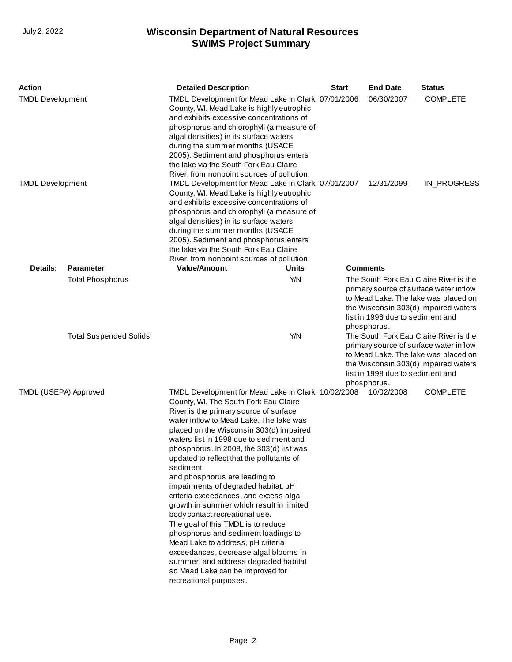| <b>Action</b>                 |                         | <b>Detailed Description</b>                                                                                                                                                                                                                                                                                                                                                                                                                                                                                                                                                                                                                                                                                                                                                                                                                  |                                                                                                                                                                                                                            | <b>Start</b> | <b>End Date</b>                                 | <b>Status</b>                                                                                                                                                    |
|-------------------------------|-------------------------|----------------------------------------------------------------------------------------------------------------------------------------------------------------------------------------------------------------------------------------------------------------------------------------------------------------------------------------------------------------------------------------------------------------------------------------------------------------------------------------------------------------------------------------------------------------------------------------------------------------------------------------------------------------------------------------------------------------------------------------------------------------------------------------------------------------------------------------------|----------------------------------------------------------------------------------------------------------------------------------------------------------------------------------------------------------------------------|--------------|-------------------------------------------------|------------------------------------------------------------------------------------------------------------------------------------------------------------------|
| <b>TMDL Development</b>       |                         | TMDL Development for Mead Lake in Clark 07/01/2006<br>County, WI. Mead Lake is highly eutrophic<br>and exhibits excessive concentrations of<br>phosphorus and chlorophyll (a measure of<br>algal densities) in its surface waters<br>during the summer months (USACE<br>2005). Sediment and phosphorus enters<br>the lake via the South Fork Eau Claire<br>River, from nonpoint sources of pollution.                                                                                                                                                                                                                                                                                                                                                                                                                                        |                                                                                                                                                                                                                            |              | 06/30/2007                                      | <b>COMPLETE</b>                                                                                                                                                  |
| <b>TMDL Development</b>       |                         | TMDL Development for Mead Lake in Clark 07/01/2007<br>County, WI. Mead Lake is highly eutrophic<br>and exhibits excessive concentrations of<br>phosphorus and chlorophyll (a measure of<br>algal densities) in its surface waters<br>during the summer months (USACE<br>2005). Sediment and phosphorus enters<br>the lake via the South Fork Eau Claire<br>River, from nonpoint sources of pollution.                                                                                                                                                                                                                                                                                                                                                                                                                                        |                                                                                                                                                                                                                            |              | 12/31/2099                                      | IN_PROGRESS                                                                                                                                                      |
| <b>Details:</b>               | <b>Parameter</b>        | <b>Value/Amount</b>                                                                                                                                                                                                                                                                                                                                                                                                                                                                                                                                                                                                                                                                                                                                                                                                                          | Units                                                                                                                                                                                                                      |              | <b>Comments</b>                                 |                                                                                                                                                                  |
|                               | <b>Total Phosphorus</b> |                                                                                                                                                                                                                                                                                                                                                                                                                                                                                                                                                                                                                                                                                                                                                                                                                                              | Y/N                                                                                                                                                                                                                        |              | list in 1998 due to sediment and<br>phosphorus. | The South Fork Eau Claire River is the<br>primary source of surface water inflow<br>to Mead Lake. The lake was placed on<br>the Wisconsin 303(d) impaired waters |
| <b>Total Suspended Solids</b> |                         |                                                                                                                                                                                                                                                                                                                                                                                                                                                                                                                                                                                                                                                                                                                                                                                                                                              | Y/N<br>The South Fork Eau Claire River is the<br>primary source of surface water inflow<br>to Mead Lake. The lake was placed on<br>the Wisconsin 303(d) impaired waters<br>list in 1998 due to sediment and<br>phosphorus. |              |                                                 |                                                                                                                                                                  |
| TMDL (USEPA) Approved         |                         | TMDL Development for Mead Lake in Clark 10/02/2008<br>County, WI. The South Fork Eau Claire<br>River is the primary source of surface<br>water inflow to Mead Lake. The lake was<br>placed on the Wisconsin 303(d) impaired<br>waters list in 1998 due to sediment and<br>phosphorus. In 2008, the 303(d) list was<br>updated to reflect that the pollutants of<br>sediment<br>and phosphorus are leading to<br>impairments of degraded habitat, pH<br>criteria exceedances, and excess algal<br>growth in summer which result in limited<br>body contact recreational use.<br>The goal of this TMDL is to reduce<br>phosphorus and sediment loadings to<br>Mead Lake to address, pH criteria<br>exceedances, decrease algal blooms in<br>summer, and address degraded habitat<br>so Mead Lake can be improved for<br>recreational purposes. |                                                                                                                                                                                                                            |              | 10/02/2008                                      | <b>COMPLETE</b>                                                                                                                                                  |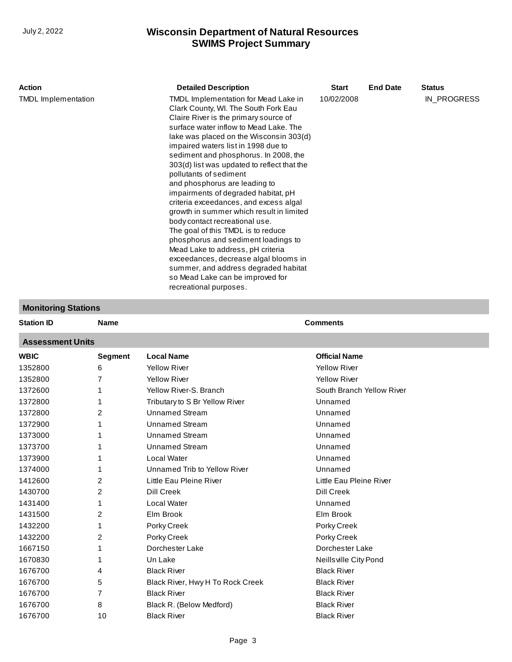| Action                     | <b>Detailed Description</b>                                                                                                                                                                                                                                                                                                                                                                                                                                                                                                                                                                                                                                                                                                                                                                                                          | <b>Start</b> | <b>End Date</b> | <b>Status</b> |
|----------------------------|--------------------------------------------------------------------------------------------------------------------------------------------------------------------------------------------------------------------------------------------------------------------------------------------------------------------------------------------------------------------------------------------------------------------------------------------------------------------------------------------------------------------------------------------------------------------------------------------------------------------------------------------------------------------------------------------------------------------------------------------------------------------------------------------------------------------------------------|--------------|-----------------|---------------|
| <b>TMDL</b> Implementation | TMDL Implementation for Mead Lake in<br>Clark County, WI. The South Fork Eau<br>Claire River is the primary source of<br>surface water inflow to Mead Lake. The<br>lake was placed on the Wisconsin 303(d)<br>impaired waters list in 1998 due to<br>sediment and phosphorus. In 2008, the<br>303(d) list was updated to reflect that the<br>pollutants of sediment<br>and phosphorus are leading to<br>impairments of degraded habitat, pH<br>criteria exceedances, and excess algal<br>growth in summer which result in limited<br>body contact recreational use.<br>The goal of this TMDL is to reduce<br>phosphorus and sediment loadings to<br>Mead Lake to address, pH criteria<br>exceedances, decrease algal blooms in<br>summer, and address degraded habitat<br>so Mead Lake can be improved for<br>recreational purposes. | 10/02/2008   |                 | IN PROGRESS   |

#### **Monitoring Stations**

| Station ID |  |
|------------|--|
|            |  |

#### **Assessment Units**

| <b>WBIC</b> | <b>Segment</b> | <b>Local Name</b>                | <b>Official Name</b>      |
|-------------|----------------|----------------------------------|---------------------------|
| 1352800     | 6              | <b>Yellow River</b>              | <b>Yellow River</b>       |
| 1352800     | 7              | <b>Yellow River</b>              | <b>Yellow River</b>       |
| 1372600     |                | Yellow River-S. Branch           | South Branch Yellow River |
| 1372800     |                | Tributary to S Br Yellow River   | Unnamed                   |
| 1372800     | 2              | <b>Unnamed Stream</b>            | Unnamed                   |
| 1372900     |                | Unnamed Stream                   | Unnamed                   |
| 1373000     |                | <b>Unnamed Stream</b>            | Unnamed                   |
| 1373700     |                | <b>Unnamed Stream</b>            | Unnamed                   |
| 1373900     |                | Local Water                      | Unnamed                   |
| 1374000     |                | Unnamed Trib to Yellow River     | Unnamed                   |
| 1412600     | 2              | Little Eau Pleine River          | Little Eau Pleine River   |
| 1430700     | 2              | Dill Creek                       | Dill Creek                |
| 1431400     |                | Local Water                      | Unnamed                   |
| 1431500     | 2              | Elm Brook                        | Elm Brook                 |
| 1432200     |                | Porky Creek                      | Porky Creek               |
| 1432200     | 2              | Porky Creek                      | Porky Creek               |
| 1667150     |                | Dorchester Lake                  | Dorchester Lake           |
| 1670830     |                | Un Lake                          | Neillsville City Pond     |
| 1676700     | 4              | <b>Black River</b>               | <b>Black River</b>        |
| 1676700     | 5              | Black River, Hwy H To Rock Creek | <b>Black River</b>        |
| 1676700     | 7              | <b>Black River</b>               | <b>Black River</b>        |
| 1676700     | 8              | Black R. (Below Medford)         | <b>Black River</b>        |
| 1676700     | 10             | <b>Black River</b>               | <b>Black River</b>        |
|             |                |                                  |                           |

**Name Comments**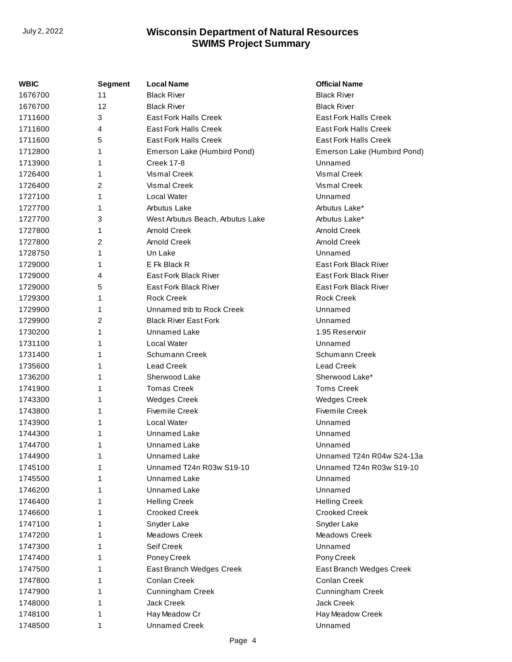| WBIC    | Segment | <b>Local Name</b>                | <b>Official Name</b>         |
|---------|---------|----------------------------------|------------------------------|
| 1676700 | 11      | <b>Black River</b>               | <b>Black River</b>           |
| 1676700 | 12      | <b>Black River</b>               | <b>Black River</b>           |
| 1711600 | 3       | East Fork Halls Creek            | <b>East Fork Halls Creek</b> |
| 1711600 | 4       | <b>East Fork Halls Creek</b>     | <b>East Fork Halls Creek</b> |
| 1711600 | 5       | <b>East Fork Halls Creek</b>     | <b>East Fork Halls Creek</b> |
| 1712800 | 1       | Emerson Lake (Humbird Pond)      | Emerson Lake (Humbird Pond)  |
| 1713900 | 1       | <b>Creek 17-8</b>                | Unnamed                      |
| 1726400 |         | Vismal Creek                     | Vismal Creek                 |
| 1726400 | 2       | Vismal Creek                     | Vismal Creek                 |
| 1727100 | 1       | <b>Local Water</b>               | Unnamed                      |
| 1727700 | 1       | Arbutus Lake                     | Arbutus Lake*                |
| 1727700 | 3       | West Arbutus Beach, Arbutus Lake | Arbutus Lake*                |
| 1727800 | 1       | <b>Arnold Creek</b>              | Arnold Creek                 |
| 1727800 | 2       | <b>Arnold Creek</b>              | <b>Arnold Creek</b>          |
| 1728750 | 1       | Un Lake                          | Unnamed                      |
| 1729000 | 1       | E Fk Black R                     | <b>East Fork Black River</b> |
| 1729000 | 4       | <b>East Fork Black River</b>     | <b>East Fork Black River</b> |
| 1729000 | 5       | East Fork Black River            | East Fork Black River        |
| 1729300 | 1       | <b>Rock Creek</b>                | <b>Rock Creek</b>            |
| 1729900 | 1       | Unnamed trib to Rock Creek       | Unnamed                      |
| 1729900 | 2       | <b>Black River East Fork</b>     | Unnamed                      |
| 1730200 | 1       | Unnamed Lake                     | 1.95 Reservoir               |
| 1731100 |         | Local Water                      | Unnamed                      |
| 1731400 | 1       | Schumann Creek                   | Schumann Creek               |
| 1735600 | 1       | <b>Lead Creek</b>                | <b>Lead Creek</b>            |
| 1736200 |         | Sherwood Lake                    | Sherwood Lake*               |
| 1741900 | 1       | <b>Tomas Creek</b>               | <b>Toms Creek</b>            |
| 1743300 | 1       | <b>Wedges Creek</b>              | <b>Wedges Creek</b>          |
| 1743800 | 1       | <b>Fivemile Creek</b>            | <b>Fivemile Creek</b>        |
| 1743900 |         | <b>Local Water</b>               | Unnamed                      |
| 1744300 | 1       | <b>Unnamed Lake</b>              | Unnamed                      |
| 1744700 | 1       | Unnamed Lake                     | Unnamed                      |
| 1744900 | 1       | <b>Unnamed Lake</b>              | Unnamed T24n R04w S24-13a    |
| 1745100 |         | Unnamed T24n R03w S19-10         | Unnamed T24n R03w S19-10     |
| 1745500 |         | Unnamed Lake                     | Unnamed                      |
| 1746200 |         | Unnamed Lake                     | Unnamed                      |
| 1746400 | 1       | <b>Helling Creek</b>             | <b>Helling Creek</b>         |
| 1746600 |         | <b>Crooked Creek</b>             | <b>Crooked Creek</b>         |
| 1747100 |         | Snyder Lake                      | Snyder Lake                  |
| 1747200 |         | <b>Meadows Creek</b>             | Meadows Creek                |
| 1747300 | 1       | Seif Creek                       | Unnamed                      |
| 1747400 |         | Poney Creek                      | Pony Creek                   |
| 1747500 |         | East Branch Wedges Creek         | East Branch Wedges Creek     |
| 1747800 |         | Conlan Creek                     | Conlan Creek                 |
| 1747900 | 1       | Cunningham Creek                 | Cunningham Creek             |
| 1748000 |         | Jack Creek                       | Jack Creek                   |
| 1748100 | 1       | Hay Meadow Cr                    | Hay Meadow Creek             |
| 1748500 | 1       | <b>Unnamed Creek</b>             | Unnamed                      |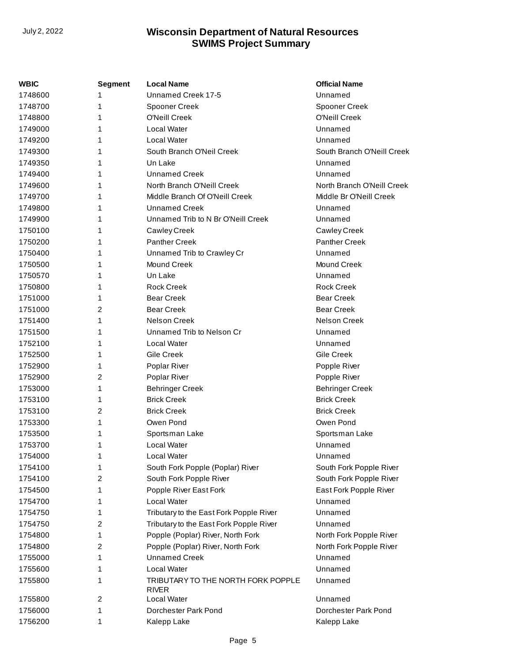| WBIC    | Segment | <b>Local Name</b>                           | <b>Official Name</b>       |
|---------|---------|---------------------------------------------|----------------------------|
| 1748600 | 1       | Unnamed Creek 17-5                          | Unnamed                    |
| 1748700 | 1       | Spooner Creek                               | Spooner Creek              |
| 1748800 | 1       | <b>O'Neill Creek</b>                        | O'Neill Creek              |
| 1749000 | 1       | Local Water                                 | Unnamed                    |
| 1749200 | 1       | <b>Local Water</b>                          | Unnamed                    |
| 1749300 | 1       | South Branch O'Neil Creek                   | South Branch O'Neill Creek |
| 1749350 | 1       | Un Lake                                     | Unnamed                    |
| 1749400 | 1       | <b>Unnamed Creek</b>                        | Unnamed                    |
| 1749600 | 1       | North Branch O'Neill Creek                  | North Branch O'Neill Creek |
| 1749700 | 1       | Middle Branch Of O'Neill Creek              | Middle Br O'Neill Creek    |
| 1749800 | 1       | Unnamed Creek                               | Unnamed                    |
| 1749900 | 1       | Unnamed Trib to N Br O'Neill Creek          | Unnamed                    |
| 1750100 | 1       | Cawley Creek                                | Cawley Creek               |
| 1750200 | 1       | <b>Panther Creek</b>                        | <b>Panther Creek</b>       |
| 1750400 | 1       | Unnamed Trib to Crawley Cr                  | Unnamed                    |
| 1750500 | 1       | Mound Creek                                 | Mound Creek                |
| 1750570 | 1       | Un Lake                                     | Unnamed                    |
| 1750800 | 1       | <b>Rock Creek</b>                           | <b>Rock Creek</b>          |
| 1751000 | 1       | <b>Bear Creek</b>                           | <b>Bear Creek</b>          |
| 1751000 | 2       | <b>Bear Creek</b>                           | <b>Bear Creek</b>          |
| 1751400 | 1       | <b>Nelson Creek</b>                         | <b>Nelson Creek</b>        |
| 1751500 | 1       | Unnamed Trib to Nelson Cr                   | Unnamed                    |
| 1752100 | 1       | Local Water                                 | Unnamed                    |
| 1752500 | 1       | Gile Creek                                  | Gile Creek                 |
| 1752900 | 1       | Poplar River                                | Popple River               |
| 1752900 | 2       | Poplar River                                | Popple River               |
| 1753000 | 1       | <b>Behringer Creek</b>                      | <b>Behringer Creek</b>     |
| 1753100 | 1       | <b>Brick Creek</b>                          | <b>Brick Creek</b>         |
| 1753100 | 2       | <b>Brick Creek</b>                          | <b>Brick Creek</b>         |
| 1753300 | 1       | Owen Pond                                   | Owen Pond                  |
| 1753500 | 1       | Sportsman Lake                              | Sportsman Lake             |
| 1753700 | 1       | Local Water                                 | Unnamed                    |
| 1754000 | 1       | Local Water                                 | Unnamed                    |
| 1754100 | 1       | South Fork Popple (Poplar) River            | South Fork Popple River    |
| 1754100 | 2       | South Fork Popple River                     | South Fork Popple River    |
| 1754500 | 1       | Popple River East Fork                      | East Fork Popple River     |
| 1754700 | 1       | Local Water                                 | Unnamed                    |
| 1754750 | 1       | Tributary to the East Fork Popple River     | Unnamed                    |
| 1754750 | 2       | Tributary to the East Fork Popple River     | Unnamed                    |
| 1754800 | 1       | Popple (Poplar) River, North Fork           | North Fork Popple River    |
| 1754800 | 2       | Popple (Poplar) River, North Fork           | North Fork Popple River    |
| 1755000 | 1       | <b>Unnamed Creek</b>                        | Unnamed                    |
| 1755600 | 1       | Local Water                                 | Unnamed                    |
| 1755800 | 1       | TRIBUTARY TO THE NORTH FORK POPPLE<br>RIVER | Unnamed                    |
| 1755800 | 2       | Local Water                                 | Unnamed                    |
| 1756000 | 1       | Dorchester Park Pond                        | Dorchester Park Pond       |
| 1756200 | 1       | Kalepp Lake                                 | Kalepp Lake                |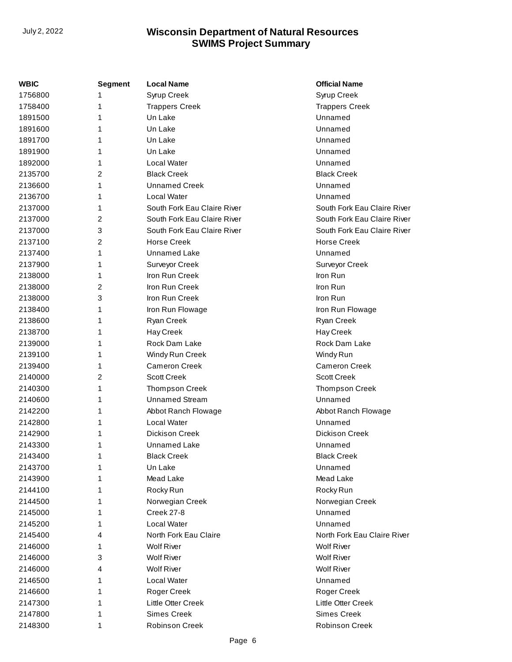| <b>WBIC</b> | <b>Segment</b> | <b>Local Name</b>           | <b>Official Name</b>        |
|-------------|----------------|-----------------------------|-----------------------------|
| 1756800     | 1              | Syrup Creek                 | Syrup Creek                 |
| 1758400     | 1              | <b>Trappers Creek</b>       | <b>Trappers Creek</b>       |
| 1891500     | 1              | Un Lake                     | Unnamed                     |
| 1891600     | 1              | Un Lake                     | Unnamed                     |
| 1891700     | 1              | Un Lake                     | Unnamed                     |
| 1891900     | 1              | Un Lake                     | Unnamed                     |
| 1892000     | 1              | Local Water                 | Unnamed                     |
| 2135700     | 2              | <b>Black Creek</b>          | <b>Black Creek</b>          |
| 2136600     | 1              | <b>Unnamed Creek</b>        | Unnamed                     |
| 2136700     | 1              | <b>Local Water</b>          | Unnamed                     |
| 2137000     | 1              | South Fork Eau Claire River | South Fork Eau Claire River |
| 2137000     | 2              | South Fork Eau Claire River | South Fork Eau Claire River |
| 2137000     | 3              | South Fork Eau Claire River | South Fork Eau Claire River |
| 2137100     | 2              | <b>Horse Creek</b>          | <b>Horse Creek</b>          |
| 2137400     | 1              | <b>Unnamed Lake</b>         | Unnamed                     |
| 2137900     | 1              | Surveyor Creek              | Surveyor Creek              |
| 2138000     | 1              | Iron Run Creek              | Iron Run                    |
| 2138000     | 2              | Iron Run Creek              | Iron Run                    |
| 2138000     | 3              | Iron Run Creek              | Iron Run                    |
| 2138400     | 1              | Iron Run Flowage            | Iron Run Flowage            |
| 2138600     | 1              | Ryan Creek                  | Ryan Creek                  |
| 2138700     | 1              | Hay Creek                   | Hay Creek                   |
| 2139000     | 1              | Rock Dam Lake               | Rock Dam Lake               |
| 2139100     | 1              | Windy Run Creek             | Windy Run                   |
| 2139400     | 1              | <b>Cameron Creek</b>        | <b>Cameron Creek</b>        |
| 2140000     | 2              | <b>Scott Creek</b>          | <b>Scott Creek</b>          |
| 2140300     | 1              | <b>Thompson Creek</b>       | <b>Thompson Creek</b>       |
| 2140600     | 1              | <b>Unnamed Stream</b>       | Unnamed                     |
| 2142200     | 1              | Abbot Ranch Flowage         | Abbot Ranch Flowage         |
| 2142800     | 1              | Local Water                 | Unnamed                     |
| 2142900     | 1              | <b>Dickison Creek</b>       | <b>Dickison Creek</b>       |
| 2143300     | 1              | <b>Unnamed Lake</b>         | Unnamed                     |
| 2143400     | 1              | <b>Black Creek</b>          | <b>Black Creek</b>          |
| 2143700     | 1              | Un Lake                     | Unnamed                     |
| 2143900     | 1              | Mead Lake                   | Mead Lake                   |
| 2144100     | 1              | Rocky Run                   | Rocky Run                   |
| 2144500     | 1              | Norwegian Creek             | Norwegian Creek             |
| 2145000     | 1              | <b>Creek 27-8</b>           | Unnamed                     |
| 2145200     | 1              | Local Water                 | Unnamed                     |
| 2145400     | 4              | North Fork Eau Claire       | North Fork Eau Claire River |
| 2146000     | 1              | <b>Wolf River</b>           | <b>Wolf River</b>           |
| 2146000     | 3              | <b>Wolf River</b>           | <b>Wolf River</b>           |
| 2146000     | 4              | <b>Wolf River</b>           | <b>Wolf River</b>           |
| 2146500     | 1              | Local Water                 | Unnamed                     |
| 2146600     | 1              | Roger Creek                 | Roger Creek                 |
| 2147300     | 1              | Little Otter Creek          | Little Otter Creek          |
| 2147800     | 1              | <b>Simes Creek</b>          | <b>Simes Creek</b>          |
| 2148300     | 1              | Robinson Creek              | Robinson Creek              |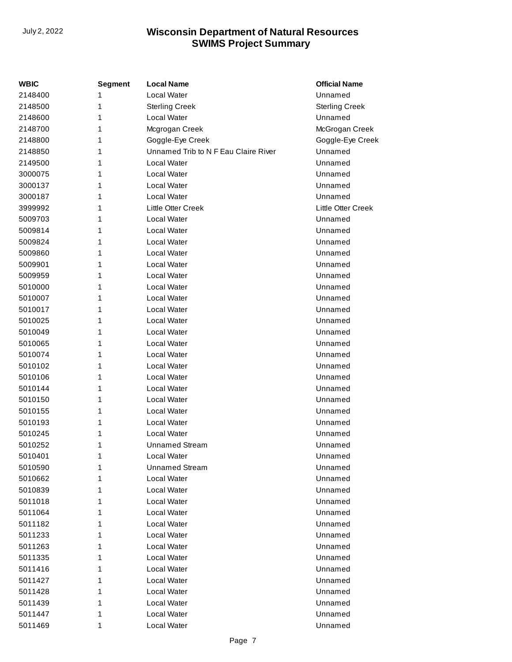| WBIC    | <b>Segment</b> | <b>Local Name</b>                    | <b>Official Name</b>  |
|---------|----------------|--------------------------------------|-----------------------|
| 2148400 |                | <b>Local Water</b>                   | Unnamed               |
| 2148500 | 1              | <b>Sterling Creek</b>                | <b>Sterling Creek</b> |
| 2148600 | 1              | <b>Local Water</b>                   | Unnamed               |
| 2148700 | 1              | Mcgrogan Creek                       | McGrogan Creek        |
| 2148800 | 1              | Goggle-Eye Creek                     | Goggle-Eye Creek      |
| 2148850 | 1              | Unnamed Trib to N F Eau Claire River | Unnamed               |
| 2149500 | 1              | <b>Local Water</b>                   | Unnamed               |
| 3000075 | 1              | <b>Local Water</b>                   | Unnamed               |
| 3000137 | 1              | <b>Local Water</b>                   | Unnamed               |
| 3000187 | 1              | <b>Local Water</b>                   | Unnamed               |
| 3999992 | 1              | <b>Little Otter Creek</b>            | Little Otter Creek    |
| 5009703 | 1              | Local Water                          | Unnamed               |
| 5009814 | 1              | <b>Local Water</b>                   | Unnamed               |
| 5009824 | 1              | <b>Local Water</b>                   | Unnamed               |
| 5009860 | 1              | <b>Local Water</b>                   | Unnamed               |
| 5009901 | 1              | <b>Local Water</b>                   | Unnamed               |
| 5009959 | 1              | <b>Local Water</b>                   | Unnamed               |
| 5010000 | 1              | <b>Local Water</b>                   | Unnamed               |
| 5010007 | 1              | Local Water                          | Unnamed               |
| 5010017 | 1              | <b>Local Water</b>                   | Unnamed               |
| 5010025 | 1              | <b>Local Water</b>                   | Unnamed               |
| 5010049 | 1              | <b>Local Water</b>                   | Unnamed               |
| 5010065 | 1              | <b>Local Water</b>                   | Unnamed               |
| 5010074 | 1              | <b>Local Water</b>                   | Unnamed               |
| 5010102 | 1              | <b>Local Water</b>                   | Unnamed               |
| 5010106 | 1              | <b>Local Water</b>                   | Unnamed               |
| 5010144 | 1              | Local Water                          | Unnamed               |
| 5010150 | 1              | <b>Local Water</b>                   | Unnamed               |
| 5010155 | 1              | <b>Local Water</b>                   | Unnamed               |
| 5010193 | 1              | <b>Local Water</b>                   | Unnamed               |
| 5010245 | 1              | <b>Local Water</b>                   | Unnamed               |
| 5010252 | 1              | <b>Unnamed Stream</b>                | Unnamed               |
| 5010401 | 1              | Local Water                          | Unnamed               |
| 5010590 | 1              | Unnamed Stream                       | Unnamed               |
| 5010662 | 1              | Local Water                          | Unnamed               |
| 5010839 | 1              | Local Water                          | Unnamed               |
| 5011018 | 1              | Local Water                          | Unnamed               |
| 5011064 | 1              | Local Water                          | Unnamed               |
| 5011182 | 1              | <b>Local Water</b>                   | Unnamed               |
| 5011233 | 1              | <b>Local Water</b>                   | Unnamed               |
| 5011263 | 1              | <b>Local Water</b>                   | Unnamed               |
| 5011335 | 1              | <b>Local Water</b>                   | Unnamed               |
| 5011416 | 1              | <b>Local Water</b>                   | Unnamed               |
| 5011427 | 1              | Local Water                          | Unnamed               |
| 5011428 | 1              | Local Water                          | Unnamed               |
| 5011439 | 1              | <b>Local Water</b>                   | Unnamed               |
| 5011447 | 1              | <b>Local Water</b>                   | Unnamed               |
| 5011469 | 1              | Local Water                          | Unnamed               |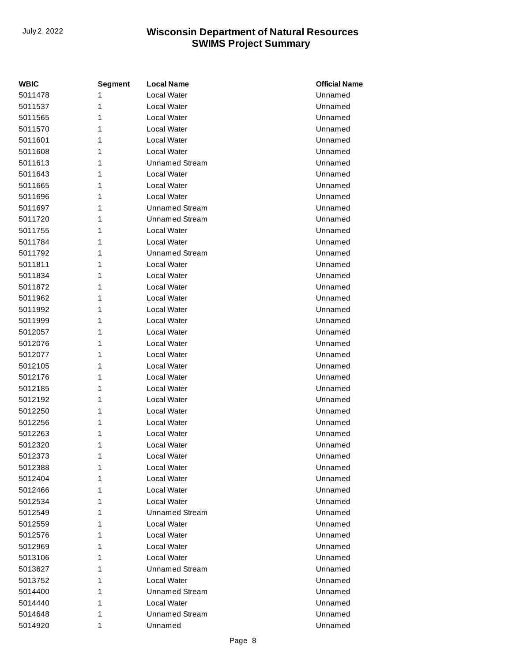| WBIC    | <b>Segment</b> | <b>Local Name</b>     | <b>Official Name</b> |
|---------|----------------|-----------------------|----------------------|
| 5011478 | 1              | Local Water           | Unnamed              |
| 5011537 | 1              | Local Water           | Unnamed              |
| 5011565 | 1              | Local Water           | Unnamed              |
| 5011570 | 1              | Local Water           | Unnamed              |
| 5011601 | 1              | Local Water           | Unnamed              |
| 5011608 | 1              | Local Water           | Unnamed              |
| 5011613 | 1              | <b>Unnamed Stream</b> | Unnamed              |
| 5011643 | 1              | Local Water           | Unnamed              |
| 5011665 | 1              | Local Water           | Unnamed              |
| 5011696 | 1              | Local Water           | Unnamed              |
| 5011697 | 1              | <b>Unnamed Stream</b> | Unnamed              |
| 5011720 | 1              | <b>Unnamed Stream</b> | Unnamed              |
| 5011755 | 1              | Local Water           | Unnamed              |
| 5011784 | 1              | Local Water           | Unnamed              |
| 5011792 | 1              | <b>Unnamed Stream</b> | Unnamed              |
| 5011811 | 1              | Local Water           | Unnamed              |
| 5011834 | 1              | Local Water           | Unnamed              |
| 5011872 | 1              | Local Water           | Unnamed              |
| 5011962 | 1              | Local Water           | Unnamed              |
| 5011992 | 1              | Local Water           | Unnamed              |
| 5011999 | 1              | Local Water           | Unnamed              |
| 5012057 | 1              | Local Water           | Unnamed              |
| 5012076 | 1              | Local Water           | Unnamed              |
| 5012077 | 1              | Local Water           | Unnamed              |
| 5012105 | 1              | Local Water           | Unnamed              |
| 5012176 | 1              | Local Water           | Unnamed              |
| 5012185 | 1              | Local Water           | Unnamed              |
| 5012192 | 1              | Local Water           | Unnamed              |
| 5012250 | 1              | Local Water           | Unnamed              |
| 5012256 | 1              | Local Water           | Unnamed              |
| 5012263 | 1              | Local Water           | Unnamed              |
| 5012320 | 1              | Local Water           | Unnamed              |
| 5012373 | 1              | Local Water           | Unnamed              |
| 5012388 | 1              | Local Water           | Unnamed              |
| 5012404 | 1              | Local Water           | Unnamed              |
| 5012466 | 1              | Local Water           | Unnamed              |
| 5012534 | 1              | Local Water           | Unnamed              |
| 5012549 | 1              | <b>Unnamed Stream</b> | Unnamed              |
| 5012559 | 1              | Local Water           | Unnamed              |
| 5012576 | 1              | Local Water           | Unnamed              |
| 5012969 | 1              | Local Water           | Unnamed              |
| 5013106 | 1              | Local Water           | Unnamed              |
| 5013627 | 1              | <b>Unnamed Stream</b> | Unnamed              |
| 5013752 | 1              | Local Water           | Unnamed              |
| 5014400 | 1              | <b>Unnamed Stream</b> | Unnamed              |
| 5014440 | 1              | Local Water           | Unnamed              |
| 5014648 | 1              | <b>Unnamed Stream</b> | Unnamed              |
| 5014920 | 1              | Unnamed               | Unnamed              |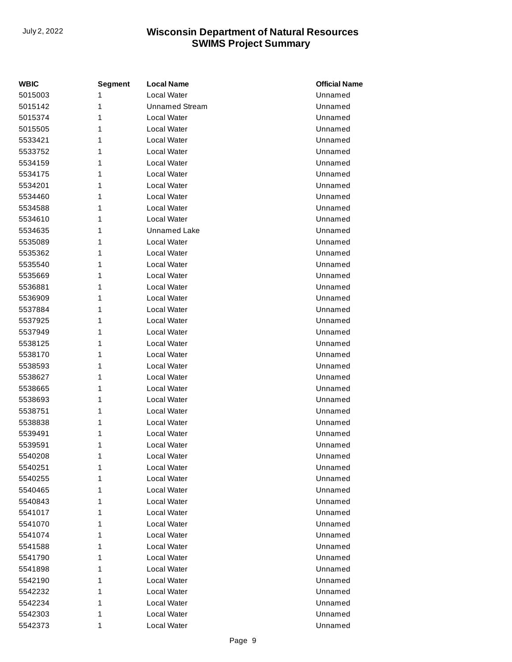| WBIC    | <b>Segment</b> | <b>Local Name</b>     | <b>Official Name</b> |
|---------|----------------|-----------------------|----------------------|
| 5015003 | 1              | Local Water           | Unnamed              |
| 5015142 | 1              | <b>Unnamed Stream</b> | Unnamed              |
| 5015374 | 1              | Local Water           | Unnamed              |
| 5015505 | 1              | Local Water           | Unnamed              |
| 5533421 | 1              | Local Water           | Unnamed              |
| 5533752 | 1              | Local Water           | Unnamed              |
| 5534159 | 1              | Local Water           | Unnamed              |
| 5534175 | 1              | Local Water           | Unnamed              |
| 5534201 | 1              | Local Water           | Unnamed              |
| 5534460 | 1              | Local Water           | Unnamed              |
| 5534588 | 1              | Local Water           | Unnamed              |
| 5534610 | 1              | Local Water           | Unnamed              |
| 5534635 | 1              | <b>Unnamed Lake</b>   | Unnamed              |
| 5535089 | 1              | Local Water           | Unnamed              |
| 5535362 | 1              | Local Water           | Unnamed              |
| 5535540 | 1              | Local Water           | Unnamed              |
| 5535669 | 1              | Local Water           | Unnamed              |
| 5536881 | 1              | Local Water           | Unnamed              |
| 5536909 | 1              | Local Water           | Unnamed              |
| 5537884 | 1              | Local Water           | Unnamed              |
| 5537925 | 1              | Local Water           | Unnamed              |
| 5537949 | 1              | Local Water           | Unnamed              |
| 5538125 | 1              | Local Water           | Unnamed              |
| 5538170 | 1              | Local Water           | Unnamed              |
| 5538593 | 1              | Local Water           | Unnamed              |
| 5538627 | 1              | Local Water           | Unnamed              |
| 5538665 | 1              | Local Water           | Unnamed              |
| 5538693 | 1              | Local Water           | Unnamed              |
| 5538751 | 1              | Local Water           | Unnamed              |
| 5538838 | 1              | Local Water           | Unnamed              |
| 5539491 | 1              | Local Water           | Unnamed              |
| 5539591 | 1              | Local Water           | Unnamed              |
| 5540208 | 1              | Local Water           | Unnamed              |
| 5540251 | 1              | Local Water           | Unnamed              |
| 5540255 | 1              | Local Water           | Unnamed              |
| 5540465 | 1              | Local Water           | Unnamed              |
| 5540843 | 1              | Local Water           | Unnamed              |
| 5541017 | 1              | Local Water           | Unnamed              |
| 5541070 | 1              | Local Water           | Unnamed              |
| 5541074 | 1              | Local Water           | Unnamed              |
| 5541588 | 1              | Local Water           | Unnamed              |
| 5541790 | 1              | Local Water           | Unnamed              |
| 5541898 | 1              | Local Water           | Unnamed              |
| 5542190 | 1              | Local Water           | Unnamed              |
| 5542232 | 1              | Local Water           | Unnamed              |
| 5542234 | 1              | Local Water           | Unnamed              |
| 5542303 | 1              | Local Water           | Unnamed              |
| 5542373 | 1              | Local Water           | Unnamed              |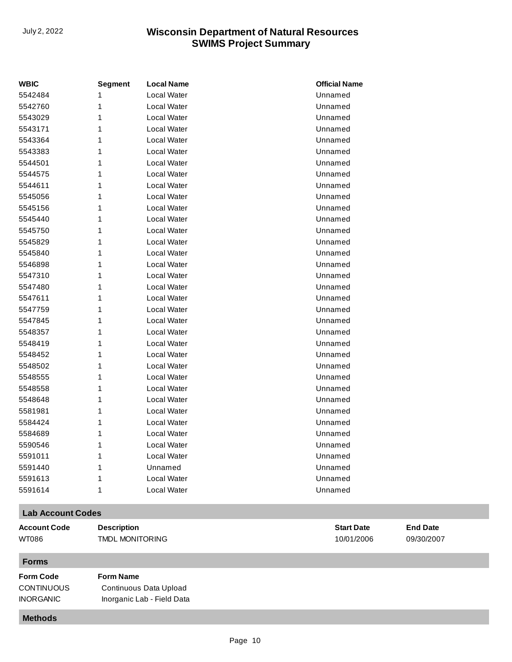| <b>WBIC</b> | <b>Segment</b> | <b>Local Name</b> | <b>Official Name</b> |
|-------------|----------------|-------------------|----------------------|
| 5542484     | 1              | Local Water       | Unnamed              |
| 5542760     | 1              | Local Water       | Unnamed              |
| 5543029     | 1              | Local Water       | Unnamed              |
| 5543171     | 1              | Local Water       | Unnamed              |
| 5543364     | 1              | Local Water       | Unnamed              |
| 5543383     | 1              | Local Water       | Unnamed              |
| 5544501     | 1              | Local Water       | Unnamed              |
| 5544575     | 1              | Local Water       | Unnamed              |
| 5544611     | 1              | Local Water       | Unnamed              |
| 5545056     | 1              | Local Water       | Unnamed              |
| 5545156     | 1              | Local Water       | Unnamed              |
| 5545440     | 1              | Local Water       | Unnamed              |
| 5545750     | 1              | Local Water       | Unnamed              |
| 5545829     | 1              | Local Water       | Unnamed              |
| 5545840     | 1              | Local Water       | Unnamed              |
| 5546898     | 1              | Local Water       | Unnamed              |
| 5547310     | 1              | Local Water       | Unnamed              |
| 5547480     | 1              | Local Water       | Unnamed              |
| 5547611     | 1              | Local Water       | Unnamed              |
| 5547759     | 1              | Local Water       | Unnamed              |
| 5547845     | 1              | Local Water       | Unnamed              |
| 5548357     | 1              | Local Water       | Unnamed              |
| 5548419     | 1              | Local Water       | Unnamed              |
| 5548452     | 1              | Local Water       | Unnamed              |
| 5548502     | 1              | Local Water       | Unnamed              |
| 5548555     | 1              | Local Water       | Unnamed              |
| 5548558     | 1              | Local Water       | Unnamed              |
| 5548648     | 1              | Local Water       | Unnamed              |
| 5581981     | 1              | Local Water       | Unnamed              |
| 5584424     | 1              | Local Water       | Unnamed              |
| 5584689     | 1              | Local Water       | Unnamed              |
| 5590546     | 1              | Local Water       | Unnamed              |
| 5591011     | 1              | Local Water       | Unnamed              |
| 5591440     | 1              | Unnamed           | Unnamed              |
| 5591613     | 1              | Local Water       | Unnamed              |
| 5591614     | 1              | Local Water       | Unnamed              |

## **Lab Account Codes**

| <b>Account Code</b><br>WT086                              | <b>Description</b><br>TMDL MONITORING                                    | <b>Start Date</b><br>10/01/2006 | <b>End Date</b><br>09/30/2007 |
|-----------------------------------------------------------|--------------------------------------------------------------------------|---------------------------------|-------------------------------|
| <b>Forms</b>                                              |                                                                          |                                 |                               |
| <b>Form Code</b><br><b>CONTINUOUS</b><br><b>INORGANIC</b> | <b>Form Name</b><br>Continuous Data Upload<br>Inorganic Lab - Field Data |                                 |                               |
| <b>Methods</b>                                            |                                                                          |                                 |                               |